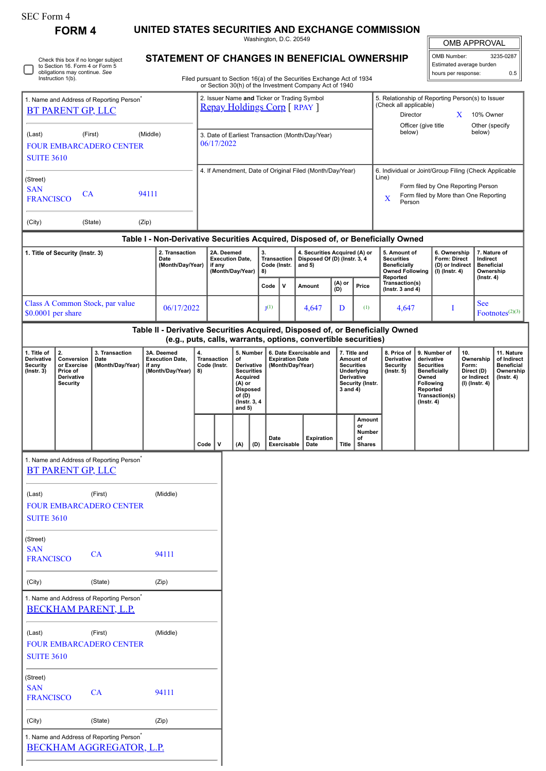| SEC Form 4                                                             |                                                    |                                                                                     |                                    |                                                |                                                                    |                                    |                                                |                                                                                         |                                                                           |             |                                                                                                                                  |                                                                                                |                                                                                                      | UNITED STATES SECURITIES AND EXCHANGE COMMISSION                                 |                           |                                                                                |                                                                |                             |                                                                                |  |
|------------------------------------------------------------------------|----------------------------------------------------|-------------------------------------------------------------------------------------|------------------------------------|------------------------------------------------|--------------------------------------------------------------------|------------------------------------|------------------------------------------------|-----------------------------------------------------------------------------------------|---------------------------------------------------------------------------|-------------|----------------------------------------------------------------------------------------------------------------------------------|------------------------------------------------------------------------------------------------|------------------------------------------------------------------------------------------------------|----------------------------------------------------------------------------------|---------------------------|--------------------------------------------------------------------------------|----------------------------------------------------------------|-----------------------------|--------------------------------------------------------------------------------|--|
|                                                                        | <b>FORM 4</b>                                      |                                                                                     |                                    |                                                |                                                                    |                                    |                                                |                                                                                         | Washington, D.C. 20549                                                    |             |                                                                                                                                  |                                                                                                |                                                                                                      |                                                                                  |                           |                                                                                |                                                                | <b>OMB APPROVAL</b>         |                                                                                |  |
| Check this box if no longer subject<br>to Section 16. Form 4 or Form 5 |                                                    |                                                                                     |                                    |                                                | STATEMENT OF CHANGES IN BENEFICIAL OWNERSHIP                       |                                    |                                                |                                                                                         |                                                                           |             |                                                                                                                                  |                                                                                                |                                                                                                      | OMB Number:<br>Estimated average burden                                          |                           |                                                                                |                                                                | 3235-0287                   |                                                                                |  |
|                                                                        | obligations may continue. See<br>Instruction 1(b). |                                                                                     |                                    |                                                |                                                                    |                                    |                                                |                                                                                         |                                                                           |             | Filed pursuant to Section 16(a) of the Securities Exchange Act of 1934<br>or Section 30(h) of the Investment Company Act of 1940 |                                                                                                |                                                                                                      |                                                                                  |                           | hours per response:                                                            |                                                                |                             | 0.5                                                                            |  |
|                                                                        |                                                    | 1. Name and Address of Reporting Person <sup>*</sup>                                |                                    |                                                |                                                                    |                                    |                                                |                                                                                         |                                                                           |             | 2. Issuer Name and Ticker or Trading Symbol<br><b>Repay Holdings Corp [ RPAY ]</b>                                               |                                                                                                |                                                                                                      | 5. Relationship of Reporting Person(s) to Issuer<br>(Check all applicable)       |                           |                                                                                |                                                                |                             |                                                                                |  |
|                                                                        | <b>BT PARENT GP, LLC</b>                           |                                                                                     |                                    |                                                |                                                                    |                                    |                                                |                                                                                         |                                                                           |             |                                                                                                                                  |                                                                                                |                                                                                                      | Director                                                                         | Officer (give title       |                                                                                | X                                                              | 10% Owner<br>Other (specify |                                                                                |  |
| (Last)                                                                 |                                                    | (First)<br><b>FOUR EMBARCADERO CENTER</b>                                           | (Middle)                           |                                                |                                                                    |                                    | 06/17/2022                                     |                                                                                         |                                                                           |             | 3. Date of Earliest Transaction (Month/Day/Year)                                                                                 |                                                                                                |                                                                                                      | below)                                                                           |                           |                                                                                |                                                                | below)                      |                                                                                |  |
| <b>SUITE 3610</b>                                                      |                                                    |                                                                                     |                                    |                                                |                                                                    |                                    |                                                |                                                                                         |                                                                           |             |                                                                                                                                  |                                                                                                |                                                                                                      |                                                                                  |                           |                                                                                |                                                                |                             |                                                                                |  |
| (Street)                                                               |                                                    |                                                                                     |                                    |                                                |                                                                    |                                    |                                                |                                                                                         |                                                                           |             | 4. If Amendment, Date of Original Filed (Month/Day/Year)                                                                         |                                                                                                |                                                                                                      | 6. Individual or Joint/Group Filing (Check Applicable<br>Line)                   |                           |                                                                                |                                                                |                             |                                                                                |  |
| <b>SAN</b><br>94111<br><b>CA</b><br><b>FRANCISCO</b>                   |                                                    |                                                                                     |                                    |                                                |                                                                    |                                    |                                                |                                                                                         |                                                                           |             |                                                                                                                                  |                                                                                                | Form filed by One Reporting Person<br>Form filed by More than One Reporting<br>$\mathbf X$<br>Person |                                                                                  |                           |                                                                                |                                                                |                             |                                                                                |  |
| (City)                                                                 |                                                    | (State)                                                                             | (Zip)                              |                                                |                                                                    |                                    |                                                |                                                                                         |                                                                           |             |                                                                                                                                  |                                                                                                |                                                                                                      |                                                                                  |                           |                                                                                |                                                                |                             |                                                                                |  |
|                                                                        |                                                    |                                                                                     |                                    |                                                |                                                                    |                                    |                                                |                                                                                         |                                                                           |             |                                                                                                                                  |                                                                                                |                                                                                                      | Table I - Non-Derivative Securities Acquired, Disposed of, or Beneficially Owned |                           |                                                                                |                                                                |                             |                                                                                |  |
| 1. Title of Security (Instr. 3)<br>Date                                |                                                    |                                                                                     | 2. Transaction<br>(Month/Day/Year) |                                                | 2A. Deemed<br><b>Execution Date,</b><br>if any<br>(Month/Day/Year) |                                    | 3.<br><b>Transaction</b><br>Code (Instr.<br>8) |                                                                                         | 4. Securities Acquired (A) or<br>Disposed Of (D) (Instr. 3, 4<br>and $5)$ |             |                                                                                                                                  | 5. Amount of<br><b>Securities</b><br><b>Beneficially</b><br><b>Owned Following</b><br>Reported |                                                                                                      | 6. Ownership<br>Form: Direct<br>(D) or Indirect<br>$(I)$ (Instr. 4)              |                           | 7. Nature of<br>Indirect<br><b>Beneficial</b><br>Ownership<br>$($ lnstr. 4 $)$ |                                                                |                             |                                                                                |  |
|                                                                        |                                                    |                                                                                     |                                    |                                                |                                                                    |                                    |                                                |                                                                                         | Code                                                                      | v           | Amount                                                                                                                           | (A) or<br>(D)                                                                                  | Price                                                                                                | Transaction(s)<br>( $lnstr. 3 and 4$ )                                           |                           |                                                                                |                                                                |                             |                                                                                |  |
|                                                                        | $$0.0001$ per share                                | Class A Common Stock, par value                                                     |                                    | 06/17/2022                                     |                                                                    |                                    |                                                |                                                                                         | I <sub>1</sub> (1)                                                        |             | 4,647                                                                                                                            | D                                                                                              | (1)                                                                                                  | 4,647                                                                            |                           | 1                                                                              |                                                                | <b>See</b>                  | Footnotes $(2)(3)$                                                             |  |
|                                                                        |                                                    |                                                                                     |                                    |                                                |                                                                    |                                    |                                                |                                                                                         |                                                                           |             | (e.g., puts, calls, warrants, options, convertible securities)                                                                   |                                                                                                |                                                                                                      | Table II - Derivative Securities Acquired, Disposed of, or Beneficially Owned    |                           |                                                                                |                                                                |                             |                                                                                |  |
| 1. Title of<br>Derivative<br><b>Security</b>                           | 2.<br>Conversion<br>or Exercise                    | 3. Transaction<br>Date<br>(Month/Day/Year)                                          |                                    | 3A. Deemed<br><b>Execution Date,</b><br>if any |                                                                    | <b>Transaction</b><br>Code (Instr. | 5. Number<br>of<br>Derivative                  |                                                                                         |                                                                           |             | 6. Date Exercisable and<br><b>Expiration Date</b><br>(Month/Day/Year)                                                            |                                                                                                | 7. Title and<br>Amount of<br><b>Securities</b>                                                       | 8. Price of<br>Derivative<br><b>Security</b>                                     |                           | 10.<br>9. Number of<br>derivative<br><b>Securities</b>                         |                                                                | Ownership<br>Form:          | 11. Nature<br>of Indirect<br><b>Beneficial</b>                                 |  |
| $($ lnstr. 3 $)$                                                       | Price of<br>Derivative<br><b>Security</b>          |                                                                                     |                                    | (Month/Day/Year)                               | 8)                                                                 |                                    |                                                | <b>Securities</b><br>Acquired<br>$(A)$ or<br><b>Disposed</b><br>of (D)<br>(Instr. 3, 4) |                                                                           |             |                                                                                                                                  | $3$ and $4)$                                                                                   | Underlying<br><b>Derivative</b><br>Security (Instr.                                                  | $($ Instr. $5)$                                                                  | Owned<br>$($ Instr. 4 $)$ |                                                                                | <b>Beneficially</b><br>Following<br>Reported<br>Transaction(s) |                             | Direct (D)<br>Ownership<br>or Indirect<br>$($ Instr. 4 $)$<br>$(I)$ (Instr. 4) |  |
|                                                                        |                                                    |                                                                                     |                                    |                                                |                                                                    |                                    |                                                | and $5)$                                                                                | Date                                                                      |             | <b>Expiration</b>                                                                                                                |                                                                                                | Amount<br>or<br>Number<br>of                                                                         |                                                                                  |                           |                                                                                |                                                                |                             |                                                                                |  |
|                                                                        |                                                    | 1. Name and Address of Reporting Person <sup>7</sup>                                |                                    |                                                | Code                                                               | $\mathbf v$                        |                                                | (A)<br>(D)                                                                              |                                                                           | Exercisable | Date                                                                                                                             | Title                                                                                          | <b>Shares</b>                                                                                        |                                                                                  |                           |                                                                                |                                                                |                             |                                                                                |  |
|                                                                        | <b>BT PARENT GP, LLC</b>                           |                                                                                     |                                    |                                                |                                                                    |                                    |                                                |                                                                                         |                                                                           |             |                                                                                                                                  |                                                                                                |                                                                                                      |                                                                                  |                           |                                                                                |                                                                |                             |                                                                                |  |
| (Last)                                                                 |                                                    | (First)<br>FOUR EMBARCADERO CENTER                                                  |                                    | (Middle)                                       |                                                                    |                                    |                                                |                                                                                         |                                                                           |             |                                                                                                                                  |                                                                                                |                                                                                                      |                                                                                  |                           |                                                                                |                                                                |                             |                                                                                |  |
| <b>SUITE 3610</b>                                                      |                                                    |                                                                                     |                                    |                                                |                                                                    |                                    |                                                |                                                                                         |                                                                           |             |                                                                                                                                  |                                                                                                |                                                                                                      |                                                                                  |                           |                                                                                |                                                                |                             |                                                                                |  |
| (Street)<br><b>SAN</b>                                                 |                                                    |                                                                                     |                                    |                                                |                                                                    |                                    |                                                |                                                                                         |                                                                           |             |                                                                                                                                  |                                                                                                |                                                                                                      |                                                                                  |                           |                                                                                |                                                                |                             |                                                                                |  |
| <b>FRANCISCO</b>                                                       |                                                    | CA                                                                                  |                                    | 94111                                          |                                                                    |                                    |                                                |                                                                                         |                                                                           |             |                                                                                                                                  |                                                                                                |                                                                                                      |                                                                                  |                           |                                                                                |                                                                |                             |                                                                                |  |
| (City)                                                                 |                                                    | (State)                                                                             |                                    | (Zip)                                          |                                                                    |                                    |                                                |                                                                                         |                                                                           |             |                                                                                                                                  |                                                                                                |                                                                                                      |                                                                                  |                           |                                                                                |                                                                |                             |                                                                                |  |
|                                                                        |                                                    | 1. Name and Address of Reporting Person <sup>*</sup><br><b>BECKHAM PARENT, L.P.</b> |                                    |                                                |                                                                    |                                    |                                                |                                                                                         |                                                                           |             |                                                                                                                                  |                                                                                                |                                                                                                      |                                                                                  |                           |                                                                                |                                                                |                             |                                                                                |  |
| (Last)<br><b>SUITE 3610</b>                                            |                                                    | (First)<br><b>FOUR EMBARCADERO CENTER</b>                                           |                                    | (Middle)                                       |                                                                    |                                    |                                                |                                                                                         |                                                                           |             |                                                                                                                                  |                                                                                                |                                                                                                      |                                                                                  |                           |                                                                                |                                                                |                             |                                                                                |  |
| (Street)<br><b>SAN</b><br><b>FRANCISCO</b>                             |                                                    | CA                                                                                  |                                    | 94111                                          |                                                                    |                                    |                                                |                                                                                         |                                                                           |             |                                                                                                                                  |                                                                                                |                                                                                                      |                                                                                  |                           |                                                                                |                                                                |                             |                                                                                |  |
| (City)                                                                 |                                                    | (State)                                                                             |                                    | (Zip)                                          |                                                                    |                                    |                                                |                                                                                         |                                                                           |             |                                                                                                                                  |                                                                                                |                                                                                                      |                                                                                  |                           |                                                                                |                                                                |                             |                                                                                |  |

| 1. Name and Address of Reporting Person <sup>*</sup> |  |  |  |  |  |  |  |  |
|------------------------------------------------------|--|--|--|--|--|--|--|--|
| BECKHAM AGGREGATOR, L.P.                             |  |  |  |  |  |  |  |  |